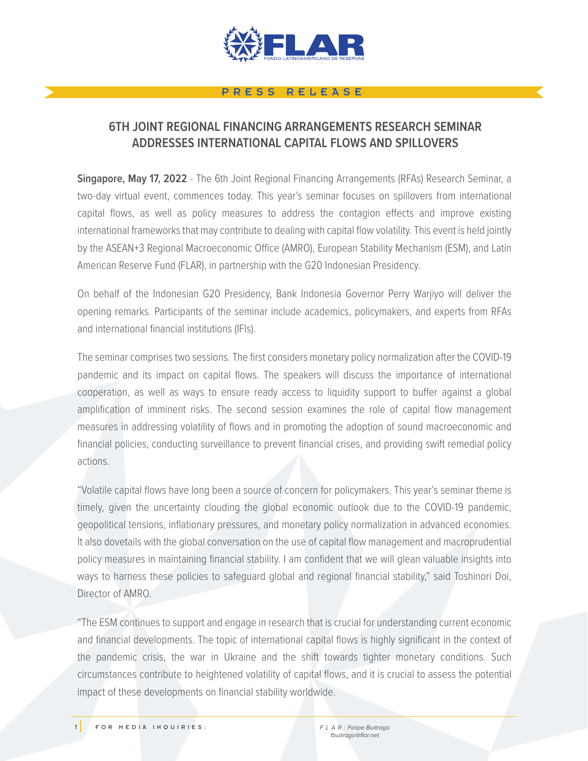

## PRESS RELEASE

## **6TH JOINT REGIONAL FINANCING ARRANGEMENTS RESEARCH SEMINAR ADDRESSES INTERNATIONAL CAPITAL FLOWS AND SPILLOVERS**

**Singapore, May 17, 2022** - The 6th Joint Regional Financing Arrangements (RFAs) Research Seminar, a two-day virtual event, commences today. This year's seminar focuses on spillovers from international capital flows, as well as policy measures to address the contagion effects and improve existing international frameworks that may contribute to dealing with capital flow volatility. This event is held jointly by the ASEAN+3 Regional Macroeconomic Office (AMRO), European Stability Mechanism (ESM), and Latin American Reserve Fund (FLAR), in partnership with the G20 Indonesian Presidency.

On behalf of the Indonesian G20 Presidency, Bank Indonesia Governor Perry Warjiyo will deliver the opening remarks. Participants of the seminar include academics, policymakers, and experts from RFAs and international financial institutions (IFIs).

The seminar comprises two sessions. The first considers monetary policy normalization after the COVID-19 pandemic and its impact on capital flows. The speakers will discuss the importance of international cooperation, as well as ways to ensure ready access to liquidity support to buffer against a global amplification of imminent risks. The second session examines the role of capital flow management measures in addressing volatility of flows and in promoting the adoption of sound macroeconomic and financial policies, conducting surveillance to prevent financial crises, and providing swift remedial policy actions.

"Volatile capital flows have long been a source of concern for policymakers. This year's seminar theme is timely, given the uncertainty clouding the global economic outlook due to the COVID-19 pandemic, geopolitical tensions, inflationary pressures, and monetary policy normalization in advanced economies. It also dovetails with the global conversation on the use of capital flow management and macroprudential policy measures in maintaining financial stability. I am confident that we will glean valuable insights into ways to harness these policies to safeguard global and regional financial stability," said Toshinori Doi, Director of AMRO.

"The ESM continues to support and engage in research that is crucial for understanding current economic and financial developments. The topic of international capital flows is highly significant in the context of the pandemic crisis, the war in Ukraine and the shift towards tighter monetary conditions. Such circumstances contribute to heightened volatility of capital flows, and it is crucial to assess the potential impact of these developments on financial stability worldwide.